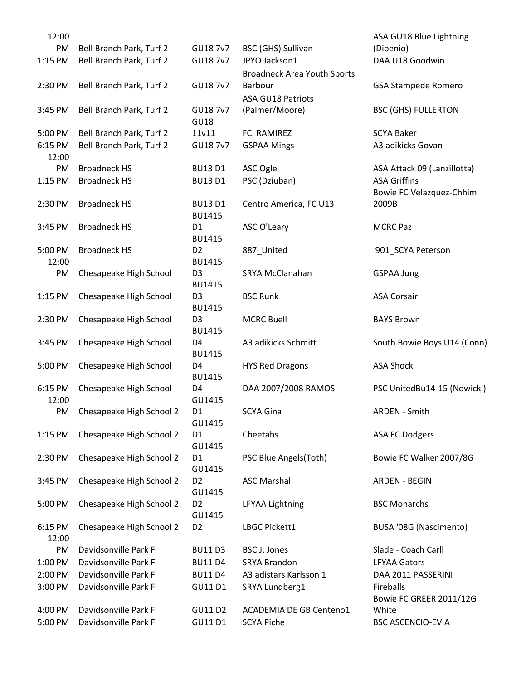| 12:00   |                          |                                 |                                    | ASA GU18 Blue Lightning     |
|---------|--------------------------|---------------------------------|------------------------------------|-----------------------------|
| PM      | Bell Branch Park, Turf 2 | GU18 7v7                        | BSC (GHS) Sullivan                 | (Dibenio)                   |
| 1:15 PM | Bell Branch Park, Turf 2 | GU18 7v7                        | JPYO Jackson1                      | DAA U18 Goodwin             |
|         |                          |                                 | <b>Broadneck Area Youth Sports</b> |                             |
| 2:30 PM | Bell Branch Park, Turf 2 | GU18 7v7                        | Barbour                            | <b>GSA Stampede Romero</b>  |
|         |                          |                                 | <b>ASA GU18 Patriots</b>           |                             |
| 3:45 PM | Bell Branch Park, Turf 2 | GU18 7v7<br><b>GU18</b>         | (Palmer/Moore)                     | <b>BSC (GHS) FULLERTON</b>  |
| 5:00 PM | Bell Branch Park, Turf 2 | 11v11                           | <b>FCI RAMIREZ</b>                 | <b>SCYA Baker</b>           |
| 6:15 PM | Bell Branch Park, Turf 2 | GU18 7v7                        | <b>GSPAA Mings</b>                 | A3 adikicks Govan           |
| 12:00   |                          |                                 |                                    |                             |
| PM      | <b>Broadneck HS</b>      | <b>BU13 D1</b>                  | ASC Ogle                           | ASA Attack 09 (Lanzillotta) |
| 1:15 PM | <b>Broadneck HS</b>      | <b>BU13 D1</b>                  | PSC (Dziuban)                      | <b>ASA Griffins</b>         |
|         |                          |                                 |                                    | Bowie FC Velazquez-Chhim    |
| 2:30 PM | <b>Broadneck HS</b>      | <b>BU13 D1</b><br><b>BU1415</b> | Centro America, FC U13             | 2009B                       |
| 3:45 PM | <b>Broadneck HS</b>      | D <sub>1</sub>                  | ASC O'Leary                        | <b>MCRC Paz</b>             |
|         |                          | <b>BU1415</b>                   |                                    |                             |
| 5:00 PM | <b>Broadneck HS</b>      | D <sub>2</sub>                  | 887_United                         | 901_SCYA Peterson           |
| 12:00   |                          | <b>BU1415</b>                   |                                    |                             |
| PM      | Chesapeake High School   | D <sub>3</sub>                  | SRYA McClanahan                    | <b>GSPAA Jung</b>           |
|         |                          | <b>BU1415</b>                   |                                    |                             |
| 1:15 PM | Chesapeake High School   | D <sub>3</sub>                  | <b>BSC Runk</b>                    | <b>ASA Corsair</b>          |
|         |                          | <b>BU1415</b>                   |                                    |                             |
| 2:30 PM | Chesapeake High School   | D <sub>3</sub>                  | <b>MCRC Buell</b>                  | <b>BAYS Brown</b>           |
|         |                          | <b>BU1415</b>                   |                                    |                             |
| 3:45 PM | Chesapeake High School   | D <sub>4</sub>                  | A3 adikicks Schmitt                | South Bowie Boys U14 (Conn) |
|         |                          | <b>BU1415</b>                   |                                    |                             |
| 5:00 PM | Chesapeake High School   | D <sub>4</sub>                  | <b>HYS Red Dragons</b>             | <b>ASA Shock</b>            |
|         |                          | <b>BU1415</b>                   |                                    |                             |
| 6:15 PM | Chesapeake High School   | D4                              | DAA 2007/2008 RAMOS                | PSC UnitedBu14-15 (Nowicki) |
| 12:00   |                          | GU1415                          |                                    |                             |
| PM      | Chesapeake High School 2 | D <sub>1</sub>                  | <b>SCYA Gina</b>                   | <b>ARDEN - Smith</b>        |
|         |                          | GU1415                          |                                    |                             |
| 1:15 PM | Chesapeake High School 2 | D <sub>1</sub>                  | Cheetahs                           | <b>ASA FC Dodgers</b>       |
|         |                          | GU1415<br>D <sub>1</sub>        | PSC Blue Angels(Toth)              |                             |
| 2:30 PM | Chesapeake High School 2 | GU1415                          |                                    | Bowie FC Walker 2007/8G     |
| 3:45 PM | Chesapeake High School 2 | D <sub>2</sub>                  | <b>ASC Marshall</b>                | <b>ARDEN - BEGIN</b>        |
|         |                          | GU1415                          |                                    |                             |
| 5:00 PM | Chesapeake High School 2 | D <sub>2</sub>                  | <b>LFYAA Lightning</b>             | <b>BSC Monarchs</b>         |
|         |                          | GU1415                          |                                    |                             |
| 6:15 PM | Chesapeake High School 2 | D <sub>2</sub>                  | LBGC Pickett1                      | BUSA '08G (Nascimento)      |
| 12:00   |                          |                                 |                                    |                             |
| PM      | Davidsonville Park F     | <b>BU11 D3</b>                  | <b>BSC J. Jones</b>                | Slade - Coach Carll         |
| 1:00 PM | Davidsonville Park F     | <b>BU11 D4</b>                  | <b>SRYA Brandon</b>                | <b>LFYAA Gators</b>         |
| 2:00 PM | Davidsonville Park F     | <b>BU11 D4</b>                  | A3 adistars Karlsson 1             | DAA 2011 PASSERINI          |
|         | Davidsonville Park F     |                                 |                                    | Fireballs                   |
| 3:00 PM |                          | GU11 D1                         | SRYA Lundberg1                     | Bowie FC GREER 2011/12G     |
| 4:00 PM | Davidsonville Park F     | GU11 D2                         | <b>ACADEMIA DE GB Centeno1</b>     | White                       |
| 5:00 PM | Davidsonville Park F     | GU11 D1                         | <b>SCYA Piche</b>                  | <b>BSC ASCENCIO-EVIA</b>    |
|         |                          |                                 |                                    |                             |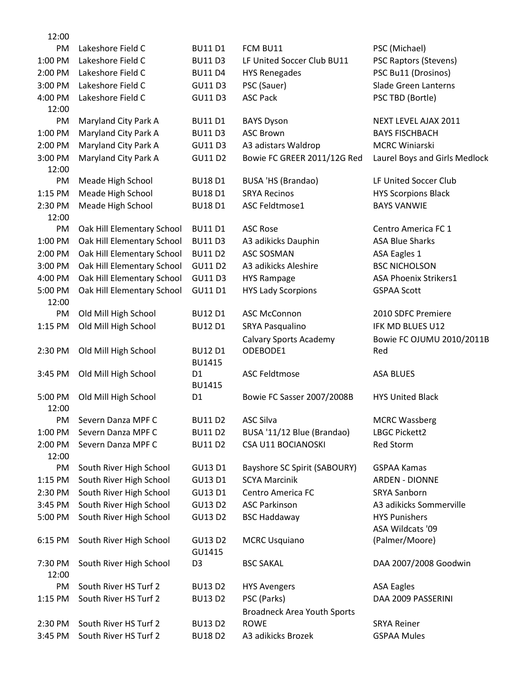| 12:00   |                            |                |                                           |                                  |
|---------|----------------------------|----------------|-------------------------------------------|----------------------------------|
| PM      | Lakeshore Field C          | <b>BU11 D1</b> | FCM BU11                                  | PSC (Michael)                    |
| 1:00 PM | Lakeshore Field C          | <b>BU11 D3</b> | LF United Soccer Club BU11                | <b>PSC Raptors (Stevens)</b>     |
| 2:00 PM | Lakeshore Field C          | <b>BU11 D4</b> | <b>HYS Renegades</b>                      | PSC Bu11 (Drosinos)              |
| 3:00 PM | Lakeshore Field C          | GU11 D3        | PSC (Sauer)                               | Slade Green Lanterns             |
| 4:00 PM | Lakeshore Field C          | GU11 D3        | <b>ASC Pack</b>                           | PSC TBD (Bortle)                 |
| 12:00   |                            |                |                                           |                                  |
| PM      | Maryland City Park A       | <b>BU11 D1</b> | <b>BAYS Dyson</b>                         | NEXT LEVEL AJAX 2011             |
| 1:00 PM | Maryland City Park A       | <b>BU11 D3</b> | <b>ASC Brown</b>                          | <b>BAYS FISCHBACH</b>            |
| 2:00 PM | Maryland City Park A       | GU11 D3        | A3 adistars Waldrop                       | <b>MCRC Winiarski</b>            |
| 3:00 PM | Maryland City Park A       | <b>GU11D2</b>  | Bowie FC GREER 2011/12G Red               | Laurel Boys and Girls Medlock    |
| 12:00   |                            |                |                                           |                                  |
| PM      | Meade High School          | <b>BU18D1</b>  | BUSA 'HS (Brandao)                        | LF United Soccer Club            |
| 1:15 PM | Meade High School          | <b>BU18D1</b>  | <b>SRYA Recinos</b>                       | <b>HYS Scorpions Black</b>       |
| 2:30 PM | Meade High School          | <b>BU18D1</b>  | ASC Feldtmose1                            | <b>BAYS VANWIE</b>               |
| 12:00   |                            |                |                                           |                                  |
| PM      | Oak Hill Elementary School | <b>BU11 D1</b> | <b>ASC Rose</b>                           | Centro America FC 1              |
| 1:00 PM | Oak Hill Elementary School | <b>BU11 D3</b> | A3 adikicks Dauphin                       | <b>ASA Blue Sharks</b>           |
| 2:00 PM | Oak Hill Elementary School | <b>BU11 D2</b> | <b>ASC SOSMAN</b>                         | <b>ASA Eagles 1</b>              |
| 3:00 PM | Oak Hill Elementary School | <b>GU11D2</b>  | A3 adikicks Aleshire                      | <b>BSC NICHOLSON</b>             |
| 4:00 PM | Oak Hill Elementary School | <b>GU11D3</b>  | <b>HYS Rampage</b>                        | ASA Phoenix Strikers1            |
| 5:00 PM | Oak Hill Elementary School | GU11 D1        | <b>HYS Lady Scorpions</b>                 | <b>GSPAA Scott</b>               |
| 12:00   |                            |                |                                           |                                  |
| PM      | Old Mill High School       | <b>BU12 D1</b> | <b>ASC McConnon</b>                       | 2010 SDFC Premiere               |
| 1:15 PM | Old Mill High School       | <b>BU12 D1</b> | SRYA Pasqualino                           | IFK MD BLUES U12                 |
|         |                            |                |                                           |                                  |
| 2:30 PM | Old Mill High School       | <b>BU12 D1</b> | <b>Calvary Sports Academy</b><br>ODEBODE1 | Bowie FC OJUMU 2010/2011B<br>Red |
|         |                            | <b>BU1415</b>  |                                           |                                  |
| 3:45 PM | Old Mill High School       | D <sub>1</sub> | <b>ASC Feldtmose</b>                      | <b>ASA BLUES</b>                 |
|         |                            | <b>BU1415</b>  |                                           |                                  |
| 5:00 PM | Old Mill High School       | D <sub>1</sub> | Bowie FC Sasser 2007/2008B                | <b>HYS United Black</b>          |
| 12:00   |                            |                |                                           |                                  |
| PM.     | Severn Danza MPF C         | <b>BU11 D2</b> | <b>ASC Silva</b>                          | <b>MCRC Wassberg</b>             |
| 1:00 PM | Severn Danza MPF C         | <b>BU11 D2</b> | BUSA '11/12 Blue (Brandao)                | LBGC Pickett2                    |
| 2:00 PM | Severn Danza MPF C         | <b>BU11 D2</b> | CSA U11 BOCIANOSKI                        | Red Storm                        |
| 12:00   |                            |                |                                           |                                  |
| PM      | South River High School    | <b>GU13 D1</b> | Bayshore SC Spirit (SABOURY)              | <b>GSPAA Kamas</b>               |
| 1:15 PM | South River High School    | GU13 D1        | <b>SCYA Marcinik</b>                      | <b>ARDEN - DIONNE</b>            |
| 2:30 PM | South River High School    | GU13 D1        | Centro America FC                         | <b>SRYA Sanborn</b>              |
| 3:45 PM | South River High School    | <b>GU13 D2</b> | <b>ASC Parkinson</b>                      | A3 adikicks Sommerville          |
| 5:00 PM | South River High School    | <b>GU13D2</b>  | <b>BSC Haddaway</b>                       | <b>HYS Punishers</b>             |
|         |                            |                |                                           | ASA Wildcats '09                 |
| 6:15 PM | South River High School    | <b>GU13 D2</b> | <b>MCRC Usquiano</b>                      | (Palmer/Moore)                   |
|         |                            | GU1415         |                                           |                                  |
| 7:30 PM | South River High School    | D <sub>3</sub> | <b>BSC SAKAL</b>                          | DAA 2007/2008 Goodwin            |
| 12:00   |                            |                |                                           |                                  |
| PM      | South River HS Turf 2      | <b>BU13D2</b>  | <b>HYS Avengers</b>                       | <b>ASA Eagles</b>                |
| 1:15 PM | South River HS Turf 2      | <b>BU13D2</b>  | PSC (Parks)                               | DAA 2009 PASSERINI               |
|         |                            |                | <b>Broadneck Area Youth Sports</b>        |                                  |
| 2:30 PM | South River HS Turf 2      | <b>BU13D2</b>  | <b>ROWE</b>                               | <b>SRYA Reiner</b>               |
| 3:45 PM | South River HS Turf 2      | <b>BU18D2</b>  | A3 adikicks Brozek                        | <b>GSPAA Mules</b>               |